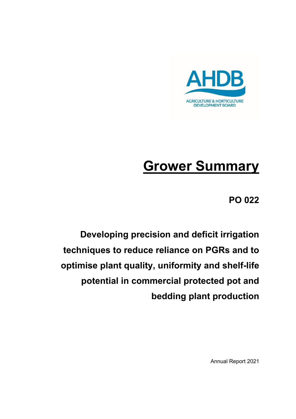

# **Grower Summary**

**PO 022**

**Developing precision and deficit irrigation techniques to reduce reliance on PGRs and to optimise plant quality, uniformity and shelf-life potential in commercial protected pot and bedding plant production**

Annual Report 2021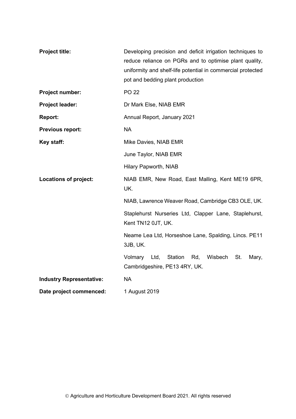| <b>Project title:</b>           | Developing precision and deficit irrigation techniques to<br>reduce reliance on PGRs and to optimise plant quality,<br>uniformity and shelf-life potential in commercial protected<br>pot and bedding plant production |  |
|---------------------------------|------------------------------------------------------------------------------------------------------------------------------------------------------------------------------------------------------------------------|--|
| Project number:                 | <b>PO 22</b>                                                                                                                                                                                                           |  |
| Project leader:                 | Dr Mark Else, NIAB EMR                                                                                                                                                                                                 |  |
| <b>Report:</b>                  | Annual Report, January 2021                                                                                                                                                                                            |  |
| Previous report:                | <b>NA</b>                                                                                                                                                                                                              |  |
| Key staff:                      | Mike Davies, NIAB EMR                                                                                                                                                                                                  |  |
|                                 | June Taylor, NIAB EMR                                                                                                                                                                                                  |  |
|                                 | Hilary Papworth, NIAB                                                                                                                                                                                                  |  |
| <b>Locations of project:</b>    | NIAB EMR, New Road, East Malling, Kent ME19 6PR,<br>UK.                                                                                                                                                                |  |
|                                 | NIAB, Lawrence Weaver Road, Cambridge CB3 OLE, UK.                                                                                                                                                                     |  |
|                                 | Staplehurst Nurseries Ltd, Clapper Lane, Staplehurst,<br>Kent TN12 0JT, UK.                                                                                                                                            |  |
|                                 | Neame Lea Ltd, Horseshoe Lane, Spalding, Lincs. PE11<br>3JB, UK.                                                                                                                                                       |  |
|                                 | Volmary<br>Ltd,<br>Station<br>Rd,<br>Wisbech<br>St.<br>Mary,<br>Cambridgeshire, PE13 4RY, UK.                                                                                                                          |  |
| <b>Industry Representative:</b> | <b>NA</b>                                                                                                                                                                                                              |  |
| Date project commenced:         | 1 August 2019                                                                                                                                                                                                          |  |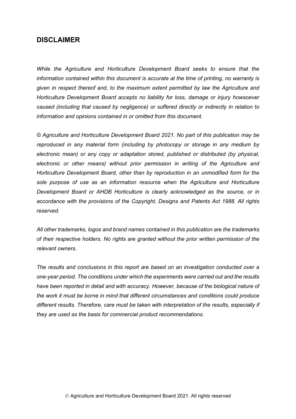## **DISCLAIMER**

*While the Agriculture and Horticulture Development Board seeks to ensure that the information contained within this document is accurate at the time of printing, no warranty is given in respect thereof and, to the maximum extent permitted by law the Agriculture and Horticulture Development Board accepts no liability for loss, damage or injury howsoever caused (including that caused by negligence) or suffered directly or indirectly in relation to information and opinions contained in or omitted from this document.* 

*© Agriculture and Horticulture Development Board 2021. No part of this publication may be reproduced in any material form (including by photocopy or storage in any medium by electronic mean) or any copy or adaptation stored, published or distributed (by physical, electronic or other means) without prior permission in writing of the Agriculture and Horticulture Development Board, other than by reproduction in an unmodified form for the sole purpose of use as an information resource when the Agriculture and Horticulture Development Board or AHDB Horticulture is clearly acknowledged as the source, or in accordance with the provisions of the Copyright, Designs and Patents Act 1988. All rights reserved.*

*All other trademarks, logos and brand names contained in this publication are the trademarks of their respective holders. No rights are granted without the prior written permission of the relevant owners.* 

*The results and conclusions in this report are based on an investigation conducted over a one-year period. The conditions under which the experiments were carried out and the results*  have been reported in detail and with accuracy. However, because of the biological nature of *the work it must be borne in mind that different circumstances and conditions could produce different results. Therefore, care must be taken with interpretation of the results, especially if they are used as the basis for commercial product recommendations.*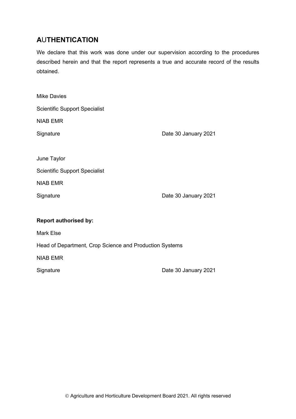# **A**U**THENTICATION**

We declare that this work was done under our supervision according to the procedures described herein and that the report represents a true and accurate record of the results obtained.

| <b>Mike Davies</b>                                      |                      |  |
|---------------------------------------------------------|----------------------|--|
| <b>Scientific Support Specialist</b>                    |                      |  |
| <b>NIAB EMR</b>                                         |                      |  |
| Signature                                               | Date 30 January 2021 |  |
|                                                         |                      |  |
| June Taylor                                             |                      |  |
| <b>Scientific Support Specialist</b>                    |                      |  |
| <b>NIAB EMR</b>                                         |                      |  |
| Signature                                               | Date 30 January 2021 |  |
|                                                         |                      |  |
| <b>Report authorised by:</b>                            |                      |  |
| <b>Mark Else</b>                                        |                      |  |
| Head of Department, Crop Science and Production Systems |                      |  |
| <b>NIAB EMR</b>                                         |                      |  |
| Signature                                               | Date 30 January 2021 |  |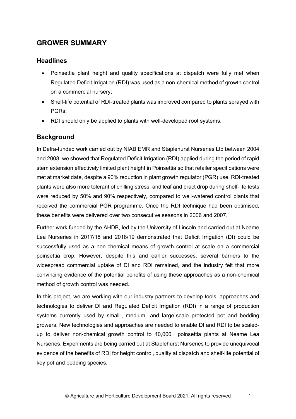# **GROWER SUMMARY**

## **Headlines**

- Poinsettia plant height and quality specifications at dispatch were fully met when Regulated Deficit Irrigation (RDI) was used as a non-chemical method of growth control on a commercial nursery;
- Shelf-life potential of RDI-treated plants was improved compared to plants sprayed with PGRs;
- RDI should only be applied to plants with well-developed root systems.

# **Background**

In Defra-funded work carried out by NIAB EMR and Staplehurst Nurseries Ltd between 2004 and 2008, we showed that Regulated Deficit Irrigation (RDI) applied during the period of rapid stem extension effectively limited plant height in Poinsettia so that retailer specifications were met at market date, despite a 90% reduction in plant growth regulator (PGR) use. RDI-treated plants were also more tolerant of chilling stress, and leaf and bract drop during shelf-life tests were reduced by 50% and 90% respectively, compared to well-watered control plants that received the commercial PGR programme. Once the RDI technique had been optimised, these benefits were delivered over two consecutive seasons in 2006 and 2007.

Further work funded by the AHDB, led by the University of Lincoln and carried out at Neame Lea Nurseries in 2017/18 and 2018/19 demonstrated that Deficit Irrigation (DI) could be successfully used as a non-chemical means of growth control at scale on a commercial poinsettia crop. However, despite this and earlier successes, several barriers to the widespread commercial uptake of DI and RDI remained, and the industry felt that more convincing evidence of the potential benefits of using these approaches as a non-chemical method of growth control was needed.

In this project, we are working with our industry partners to develop tools, approaches and technologies to deliver DI and Regulated Deficit Irrigation (RDI) in a range of production systems currently used by small-, medium- and large-scale protected pot and bedding growers. New technologies and approaches are needed to enable DI and RDI to be scaledup to deliver non-chemical growth control to 40,000+ poinsettia plants at Neame Lea Nurseries. Experiments are being carried out at Staplehurst Nurseries to provide unequivocal evidence of the benefits of RDI for height control, quality at dispatch and shelf-life potential of key pot and bedding species.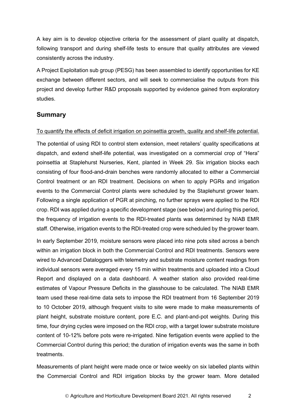A key aim is to develop objective criteria for the assessment of plant quality at dispatch, following transport and during shelf-life tests to ensure that quality attributes are viewed consistently across the industry.

A Project Exploitation sub group (PESG) has been assembled to identify opportunities for KE exchange between different sectors, and will seek to commercialise the outputs from this project and develop further R&D proposals supported by evidence gained from exploratory studies.

#### **Summary**

#### To quantify the effects of deficit irrigation on poinsettia growth, quality and shelf-life potential.

The potential of using RDI to control stem extension, meet retailers' quality specifications at dispatch, and extend shelf-life potential, was investigated on a commercial crop of "Hera" poinsettia at Staplehurst Nurseries, Kent, planted in Week 29. Six irrigation blocks each consisting of four flood-and-drain benches were randomly allocated to either a Commercial Control treatment or an RDI treatment. Decisions on when to apply PGRs and irrigation events to the Commercial Control plants were scheduled by the Staplehurst grower team. Following a single application of PGR at pinching, no further sprays were applied to the RDI crop. RDI was applied during a specific development stage (see below) and during this period, the frequency of irrigation events to the RDI-treated plants was determined by NIAB EMR staff. Otherwise, irrigation events to the RDI-treated crop were scheduled by the grower team.

In early September 2019, moisture sensors were placed into nine pots sited across a bench within an irrigation block in both the Commercial Control and RDI treatments. Sensors were wired to Advanced Dataloggers with telemetry and substrate moisture content readings from individual sensors were averaged every 15 min within treatments and uploaded into a Cloud Report and displayed on a data dashboard. A weather station also provided real-time estimates of Vapour Pressure Deficits in the glasshouse to be calculated. The NIAB EMR team used these real-time data sets to impose the RDI treatment from 16 September 2019 to 10 October 2019, although frequent visits to site were made to make measurements of plant height, substrate moisture content, pore E.C. and plant-and-pot weights. During this time, four drying cycles were imposed on the RDI crop, with a target lower substrate moisture content of 10-12% before pots were re-irrigated. Nine fertigation events were applied to the Commercial Control during this period; the duration of irrigation events was the same in both treatments.

Measurements of plant height were made once or twice weekly on six labelled plants within the Commercial Control and RDI irrigation blocks by the grower team. More detailed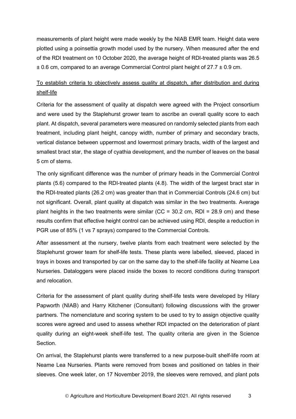measurements of plant height were made weekly by the NIAB EMR team. Height data were plotted using a poinsettia growth model used by the nursery. When measured after the end of the RDI treatment on 10 October 2020, the average height of RDI-treated plants was 26.5 ± 0.6 cm, compared to an average Commercial Control plant height of 27.7 ± 0.9 cm.

# To establish criteria to objectively assess quality at dispatch, after distribution and during shelf-life

Criteria for the assessment of quality at dispatch were agreed with the Project consortium and were used by the Staplehurst grower team to ascribe an overall quality score to each plant. At dispatch, several parameters were measured on randomly selected plants from each treatment, including plant height, canopy width, number of primary and secondary bracts, vertical distance between uppermost and lowermost primary bracts, width of the largest and smallest bract star, the stage of cyathia development, and the number of leaves on the basal 5 cm of stems.

The only significant difference was the number of primary heads in the Commercial Control plants (5.6) compared to the RDI-treated plants (4.8). The width of the largest bract star in the RDI-treated plants (26.2 cm) was greater than that in Commercial Controls (24.6 cm) but not significant. Overall, plant quality at dispatch was similar in the two treatments. Average plant heights in the two treatments were similar ( $CC = 30.2$  cm,  $RDI = 28.9$  cm) and these results confirm that effective height control can be achieved using RDI, despite a reduction in PGR use of 85% (1 vs 7 sprays) compared to the Commercial Controls.

After assessment at the nursery, twelve plants from each treatment were selected by the Staplehurst grower team for shelf-life tests. These plants were labelled, sleeved, placed in trays in boxes and transported by car on the same day to the shelf-life facility at Neame Lea Nurseries. Dataloggers were placed inside the boxes to record conditions during transport and relocation.

Criteria for the assessment of plant quality during shelf-life tests were developed by Hilary Papworth (NIAB) and Harry Kitchener (Consultant) following discussions with the grower partners. The nomenclature and scoring system to be used to try to assign objective quality scores were agreed and used to assess whether RDI impacted on the deterioration of plant quality during an eight-week shelf-life test. The quality criteria are given in the Science Section.

On arrival, the Staplehurst plants were transferred to a new purpose-built shelf-life room at Neame Lea Nurseries. Plants were removed from boxes and positioned on tables in their sleeves. One week later, on 17 November 2019, the sleeves were removed, and plant pots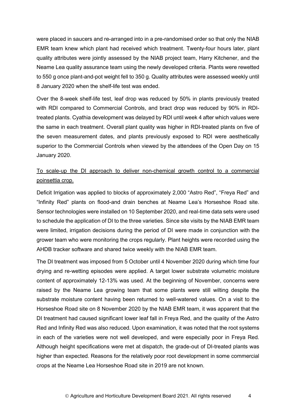were placed in saucers and re-arranged into in a pre-randomised order so that only the NIAB EMR team knew which plant had received which treatment. Twenty-four hours later, plant quality attributes were jointly assessed by the NIAB project team, Harry Kitchener, and the Neame Lea quality assurance team using the newly developed criteria. Plants were rewetted to 550 g once plant-and-pot weight fell to 350 g. Quality attributes were assessed weekly until 8 January 2020 when the shelf-life test was ended.

Over the 8-week shelf-life test, leaf drop was reduced by 50% in plants previously treated with RDI compared to Commercial Controls, and bract drop was reduced by 90% in RDItreated plants. Cyathia development was delayed by RDI until week 4 after which values were the same in each treatment. Overall plant quality was higher in RDI-treated plants on five of the seven measurement dates, and plants previously exposed to RDI were aesthetically superior to the Commercial Controls when viewed by the attendees of the Open Day on 15 January 2020.

# To scale-up the DI approach to deliver non-chemical growth control to a commercial poinsettia crop.

Deficit Irrigation was applied to blocks of approximately 2,000 "Astro Red", "Freya Red" and "Infinity Red" plants on flood-and drain benches at Neame Lea's Horseshoe Road site. Sensor technologies were installed on 10 September 2020, and real-time data sets were used to schedule the application of DI to the three varieties. Since site visits by the NIAB EMR team were limited, irrigation decisions during the period of DI were made in conjunction with the grower team who were monitoring the crops regularly. Plant heights were recorded using the AHDB tracker software and shared twice weekly with the NIAB EMR team.

The DI treatment was imposed from 5 October until 4 November 2020 during which time four drying and re-wetting episodes were applied. A target lower substrate volumetric moisture content of approximately 12-13% was used. At the beginning of November, concerns were raised by the Neame Lea growing team that some plants were still wilting despite the substrate moisture content having been returned to well-watered values. On a visit to the Horseshoe Road site on 8 November 2020 by the NIAB EMR team, it was apparent that the DI treatment had caused significant lower leaf fall in Freya Red, and the quality of the Astro Red and Infinity Red was also reduced. Upon examination, it was noted that the root systems in each of the varieties were not well developed, and were especially poor in Freya Red. Although height specifications were met at dispatch, the grade-out of DI-treated plants was higher than expected. Reasons for the relatively poor root development in some commercial crops at the Neame Lea Horseshoe Road site in 2019 are not known.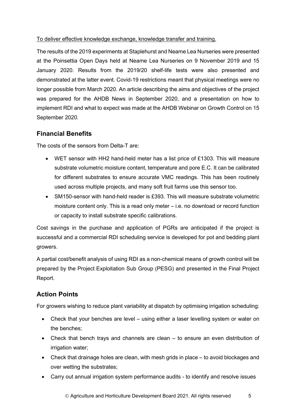#### To deliver effective knowledge exchange, knowledge transfer and training.

The results of the 2019 experiments at Staplehurst and Neame Lea Nurseries were presented at the Poinsettia Open Days held at Neame Lea Nurseries on 9 November 2019 and 15 January 2020. Results from the 2019/20 shelf-life tests were also presented and demonstrated at the latter event. Covid-19 restrictions meant that physical meetings were no longer possible from March 2020. An article describing the aims and objectives of the project was prepared for the AHDB News in September 2020, and a presentation on how to implement RDI and what to expect was made at the AHDB Webinar on Growth Control on 15 September 2020.

# **Financial Benefits**

The costs of the sensors from Delta-T are:

- WET sensor with HH2 hand-held meter has a list price of £1303. This will measure substrate volumetric moisture content, temperature and pore E.C. It can be calibrated for different substrates to ensure accurate VMC readings. This has been routinely used across multiple projects, and many soft fruit farms use this sensor too.
- SM150-sensor with hand-held reader is £393. This will measure substrate volumetric moisture content only. This is a read only meter – i.e. no download or record function or capacity to install substrate specific calibrations.

Cost savings in the purchase and application of PGRs are anticipated if the project is successful and a commercial RDI scheduling service is developed for pot and bedding plant growers.

A partial cost/benefit analysis of using RDI as a non-chemical means of growth control will be prepared by the Project Exploitation Sub Group (PESG) and presented in the Final Project Report.

# **Action Points**

For growers wishing to reduce plant variability at dispatch by optimising irrigation scheduling:

- Check that your benches are level using either a laser levelling system or water on the benches;
- Check that bench trays and channels are clean to ensure an even distribution of irrigation water;
- Check that drainage holes are clean, with mesh grids in place to avoid blockages and over wetting the substrates;
- Carry out annual irrigation system performance audits to identify and resolve issues